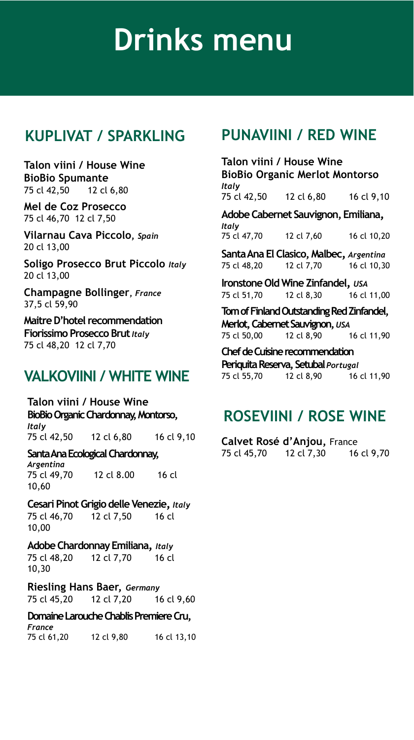#### **KUPLIVAT / SPARKLING**

**Talon viini / House Wine BioBio Spumante** 75 cl 42,50 12 cl 6,80

**Mel de Coz Prosecco** 75 cl 46,70 12 cl 7,50

**Vilarnau Cava Piccolo,** *Spain* 20 cl 13,00

**Soligo Prosecco Brut Piccolo** *Italy* 20 cl 13,00

**Champagne Bollinger,** *France* 37,5 cl 59,90

**MaitreD'hotel recommendation Fiorissimo Prosecco Brut** *Italy* 75 cl 48,20 12 cl 7,70

#### **VALKOVIINI / WHITE WINE**

**Talon viini / House Wine BioBioOrganic Chardonnay, Montorso,**  *Italy* 75 cl 42,50 12 cl 6,80 16 cl 9,10

**Santa Ana Ecological Chardonnay,** 

*Argentina* 75 cl 49,70 12 cl 8.00 16 cl 10,60

**Cesari Pinot GrigiodelleVenezie,** *Italy* 75 cl 46,70 12 cl 7,50 16 cl 10,00

**Adobe Chardonnay Emiliana,** *Italy* 75 cl 48,20 12 cl 7,70 16 cl 10,30

**Riesling Hans Baer,** *Germany* 75 cl 45,20 12 cl 7,20 16 cl 9,60

**Domaine Larouche Chablis Premiere Cru,** *France* 75 cl 61,20 12 cl 9,80 16 cl 13,10

#### **PUNAVIINI / RED WINE**

**Talon viini / House Wine BioBio Organic Merlot Montorso** *Italy* 75 cl 42,50 12 cl 6,80 16 cl 9,10 **Adobe Cabernet Sauvignon, Emiliana,** *Italy* 75 cl 47,70 12 cl 7,60 16 cl 10,20 **Santa Ana El Clasico, Malbec,** *Argentina* 75 cl 48,20 **Ironstone Old Wine Zinfandel,** *USA*<br>75 cl 51,70 12 cl 8,30 16 cl 11,00 75 cl 51,70 **Tom of Finland Outstanding Red Zinfandel, Merlot, Cabernet Sauvignon,** *USA*<br>75 cl 50.00 **12 cl 8.90** 75 cl 50,00 12 cl 8,90 16 cl 11,90 **Chef de Cuisine recommendation**

**PeriquitaReserva, Setubal** *Portugal* 75 cl 55,70 12 cl 8,90 16 cl 11,90

#### **ROSEVIINI / ROSE WINE**

**Calvet Rosé d'Anjou,** France 75 cl 45,70 12 cl 7,30 16 cl 9,70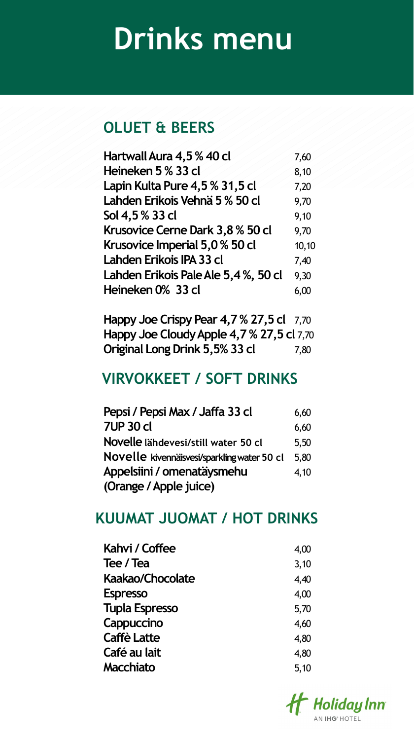#### **OLUET & BEERS**

| Hartwall Aura 4,5 % 40 cl           | 7,60  |
|-------------------------------------|-------|
| Heineken 5 % 33 cl                  | 8,10  |
| Lapin Kulta Pure 4,5 % 31,5 cl      | 7,20  |
| Lahden Erikois Vehnä 5 % 50 cl      | 9,70  |
| Sol 4,5% 33 cl                      | 9,10  |
| Krusovice Cerne Dark 3,8 % 50 cl    | 9,70  |
| Krusovice Imperial 5,0 % 50 cl      | 10,10 |
| Lahden Erikois IPA 33 cl            | 7,40  |
| Lahden Erikois Pale Ale 5,4%, 50 cl | 9,30  |
| Heineken 0% 33 cl                   | 6,00  |
|                                     |       |

**Happy Joe Crispy Pear 4,7 % 27,5 cl** 7,70 **Happy Joe Cloudy Apple 4,7 % 27,5 cl** 7,70 **Original Long Drink 5,5% 33 cl** 7,80

#### **VIRVOKKEET / SOFT DRINKS**

| Pepsi / Pepsi Max / Jaffa 33 cl             | 6,60 |
|---------------------------------------------|------|
| <b>7UP 30 cl</b>                            | 6,60 |
| Novelle lähdevesi/still water 50 cl         | 5,50 |
| Novelle kivennäisvesi/sparkling water 50 cl | 5,80 |
| Appelsiini / omenatäysmehu                  | 4,10 |
| (Orange / Apple juice)                      |      |

#### **KUUMAT JUOMAT / HOT DRINKS**

| 4,00 |
|------|
| 3,10 |
| 4,40 |
| 4,00 |
| 5,70 |
| 4,60 |
| 4,80 |
| 4,80 |
| 5,10 |
|      |

**Ht** Holiday Inn **N IHG**<sup>®</sup> HOTEL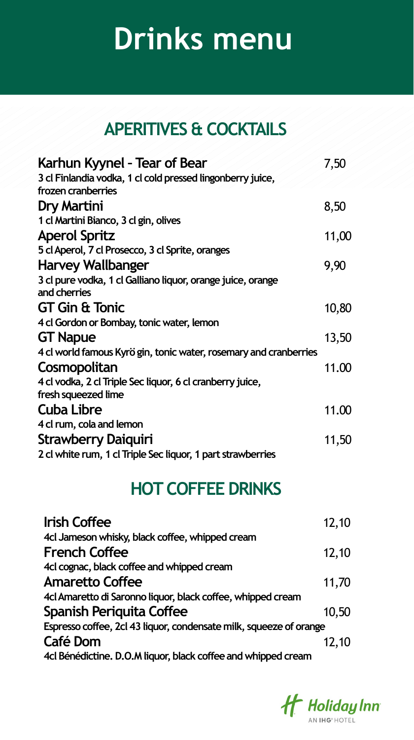### **APERITIVES & COCKTAILS**

| Karhun Kyynel - Tear of Bear                                     | 7,50  |
|------------------------------------------------------------------|-------|
| 3 cl Finlandia vodka, 1 cl cold pressed lingonberry juice,       |       |
| frozen cranberries                                               |       |
| Dry Martini                                                      | 8,50  |
| 1 cl Martini Bianco, 3 cl gin, olives                            |       |
| <b>Aperol Spritz</b>                                             | 11,00 |
| 5 cl Aperol, 7 cl Prosecco, 3 cl Sprite, oranges                 |       |
| <b>Harvey Wallbanger</b>                                         | 9,90  |
| 3 cl pure vodka, 1 cl Galliano liquor, orange juice, orange      |       |
| and cherries                                                     |       |
| <b>GT Gin &amp; Tonic</b>                                        | 10,80 |
| 4 cl Gordon or Bombay, tonic water, lemon                        |       |
| <b>GT Napue</b>                                                  | 13,50 |
| 4 cl world famous Kyrögin, tonic water, rosemary and cranberries |       |
| Cosmopolitan                                                     | 11.00 |
| 4 cl vodka, 2 cl Triple Sec liquor, 6 cl cranberry juice,        |       |
| fresh squeezed lime                                              |       |
| <b>Cuba Libre</b>                                                | 11.00 |
| 4 cl rum, cola and lemon                                         |       |
| <b>Strawberry Daiquiri</b>                                       | 11,50 |
| 2 cl white rum, 1 cl Triple Sec liquor, 1 part strawberries      |       |

### **HOT COFFEE DRINKS**

| <b>Irish Coffee</b>                                                | 12,10 |
|--------------------------------------------------------------------|-------|
| 4cl Jameson whisky, black coffee, whipped cream                    |       |
| <b>French Coffee</b>                                               | 12,10 |
| 4cl cognac, black coffee and whipped cream                         |       |
| <b>Amaretto Coffee</b>                                             | 11,70 |
| 4cl Amaretto di Saronno liquor, black coffee, whipped cream        |       |
| <b>Spanish Periquita Coffee</b>                                    | 10,50 |
| Espresso coffee, 2cl 43 liquor, condensate milk, squeeze of orange |       |
| Café Dom                                                           | 12,10 |
| 4cl Bénédictine. D.O.M liquor, black coffee and whipped cream      |       |